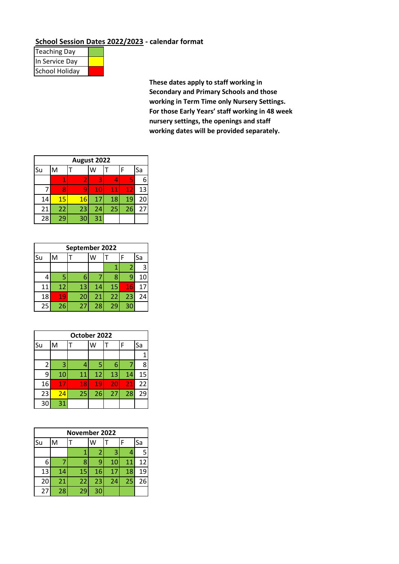## **School Session Dates 2022/2023 - calendar format**

| <b>Teaching Day</b> |  |
|---------------------|--|
| In Service Day      |  |
| School Holiday      |  |

**These dates apply to staff working in Secondary and Primary Schools and those working in Term Time only Nursery Settings. For those Early Years' staff working in 48 week nursery settings, the openings and staff working dates will be provided separately.**

| August 2022 |    |    |    |        |    |    |  |
|-------------|----|----|----|--------|----|----|--|
| Su          | M  |    | W  |        | F  | Sa |  |
|             |    | 2  | 3  |        | 5  | 6  |  |
|             | Я  |    | 10 | $11\,$ | 12 | 13 |  |
| 14          | 15 | 16 | 17 | 18     | 19 | 20 |  |
| 21          | 22 | 23 | 24 | 25     | 26 | 27 |  |
| 28          | 29 | 30 | 31 |        |    |    |  |

|    | September 2022 |    |    |    |    |    |  |
|----|----------------|----|----|----|----|----|--|
| Su | M              |    | w  |    | F  | Sa |  |
|    |                |    |    |    | 2  | 3  |  |
|    | 5              | 6  |    | 8  | ٩  | 10 |  |
| 11 | 12             | 13 | 14 | 15 | 16 | 17 |  |
| 18 | 19             | 20 | 21 | 22 | 23 | 24 |  |
| 25 | 26             | 27 | 28 | 29 | 30 |    |  |

|                | October 2022 |    |    |    |    |    |  |
|----------------|--------------|----|----|----|----|----|--|
| Su             | M            |    |    |    | F  | Sa |  |
|                |              |    |    |    |    |    |  |
| $\overline{2}$ | 3            | 4  | 5  | 6  | 7  | ጸ  |  |
| 9              | 10           | 11 | 12 | 13 | 14 | 15 |  |
| 16             | 17           | 18 | 19 | 20 | 21 | 22 |  |
| 23             | 24           | 25 | 26 | 27 | 28 | 29 |  |
| 30             | 31           |    |    |    |    |    |  |

|    | <b>November 2022</b> |    |    |    |    |    |  |  |
|----|----------------------|----|----|----|----|----|--|--|
| Su | M                    |    |    |    | F  | Sa |  |  |
|    |                      |    | 2  | 3  |    | 5  |  |  |
| 6  |                      | 8  | q  | 10 | 11 | 12 |  |  |
| 13 | 14                   | 15 | 16 | 17 | 18 | 19 |  |  |
| 20 | 21                   | 22 | 23 | 24 | 25 | 26 |  |  |
| 27 | 28                   | 29 | 30 |    |    |    |  |  |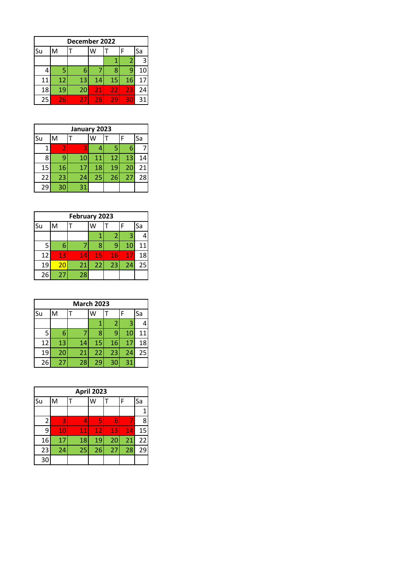|    | December 2022 |    |    |    |    |    |  |
|----|---------------|----|----|----|----|----|--|
| Su | М             |    | W  |    | F  | Sa |  |
|    |               |    |    |    | 2  | 3  |  |
|    | 5             | 6  |    | ጸ  | q  | 10 |  |
| 11 | 12            | 13 | 14 | 15 | 16 | 17 |  |
| 18 | 19            | 20 | 21 | 22 | 23 | 24 |  |
| 25 | 26            | 27 | 28 | 29 | 30 | 31 |  |

| January 2023 |    |    |    |    |    |    |
|--------------|----|----|----|----|----|----|
| Su           | M  |    | w  |    | F  | Sa |
|              |    | 3  | 4  | 5  | 6  |    |
| 8            | q  | 10 | 11 | 12 | 13 | 14 |
| 15           | 16 | 17 | 18 | 19 | 20 | 21 |
| 22           | 23 | 24 | 25 | 26 | 27 | 28 |
| 29           | 30 | 31 |    |    |    |    |

| February 2023 |    |    |    |    |    |    |
|---------------|----|----|----|----|----|----|
| Su            | M  |    |    |    | F  | Sa |
|               |    |    |    | 2  | 3  |    |
| 5             | 6  |    |    | q  | 10 | 11 |
| 12            | 13 | 14 | 15 | 16 | 17 | 18 |
| 19            | 20 | 21 | 22 | 23 | 24 | 25 |
| 26            | 27 | 28 |    |    |    |    |

|    | <b>March 2023</b> |    |    |                |    |    |  |  |
|----|-------------------|----|----|----------------|----|----|--|--|
| Su | M                 |    |    |                | F  | Sa |  |  |
|    |                   |    |    | $\overline{2}$ | 3  |    |  |  |
| 5  | 6                 |    | 8  | 9              | 10 | 11 |  |  |
| 12 | 13                | 14 | 15 | 16             | 17 | 18 |  |  |
| 19 | 20                | 21 | 22 | 23             | 24 | 25 |  |  |
| 26 | 27                | 28 | 29 | 30             | 31 |    |  |  |

|                | April 2023 |    |    |    |    |    |  |
|----------------|------------|----|----|----|----|----|--|
| Su             | M          |    |    |    | F  | Sa |  |
|                |            |    |    |    |    |    |  |
| $\overline{2}$ | 3          | 4  | 5  | 6  | 7  | 8  |  |
| 9              | $10\,$     | 11 | 12 | 13 | 14 | 15 |  |
| 16             | 17         | 18 | 19 | 20 | 21 | 22 |  |
| 23             | 24         | 25 | 26 | 27 | 28 | 29 |  |
| 30             |            |    |    |    |    |    |  |